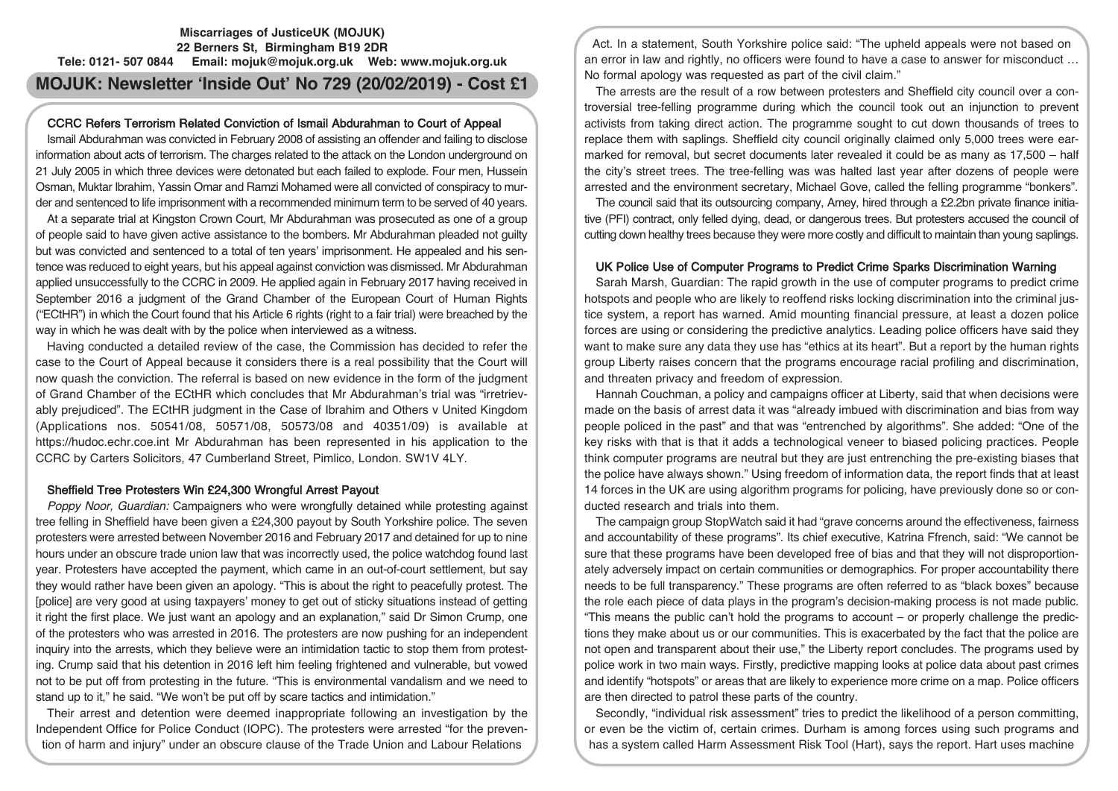# **Miscarriages of JusticeUK (MOJUK) 22 Berners St, Birmingham B19 2DR Tele: 0121- 507 0844 Email: mojuk@mojuk.org.uk Web: www.mojuk.org.uk**

# **MOJUK: Newsletter 'Inside Out' No 729 (20/02/2019) - Cost £1**

# CCRC Refers Terrorism Related Conviction of Ismail Abdurahman to Court of Appeal

Ismail Abdurahman was convicted in February 2008 of assisting an offender and failing to disclose information about acts of terrorism. The charges related to the attack on the London underground on 21 July 2005 in which three devices were detonated but each failed to explode. Four men, Hussein Osman, Muktar Ibrahim, Yassin Omar and Ramzi Mohamed were all convicted of conspiracy to murder and sentenced to life imprisonment with a recommended minimum term to be served of 40 years.

At a separate trial at Kingston Crown Court, Mr Abdurahman was prosecuted as one of a group of people said to have given active assistance to the bombers. Mr Abdurahman pleaded not guilty but was convicted and sentenced to a total of ten years' imprisonment. He appealed and his sentence was reduced to eight years, but his appeal against conviction was dismissed. Mr Abdurahman applied unsuccessfully to the CCRC in 2009. He applied again in February 2017 having received in September 2016 a judgment of the Grand Chamber of the European Court of Human Rights ("ECtHR") in which the Court found that his Article 6 rights (right to a fair trial) were breached by the way in which he was dealt with by the police when interviewed as a witness.

Having conducted a detailed review of the case, the Commission has decided to refer the case to the Court of Appeal because it considers there is a real possibility that the Court will now quash the conviction. The referral is based on new evidence in the form of the judgment of Grand Chamber of the ECtHR which concludes that Mr Abdurahman's trial was "irretrievably prejudiced". The ECtHR judgment in the Case of Ibrahim and Others v United Kingdom (Applications nos. 50541/08, 50571/08, 50573/08 and 40351/09) is available at https://hudoc.echr.coe.int Mr Abdurahman has been represented in his application to the CCRC by Carters Solicitors, 47 Cumberland Street, Pimlico, London. SW1V 4LY.

# Sheffield Tree Protesters Win £24,300 Wrongful Arrest Payout

Poppy Noor, Guardian: Campaigners who were wrongfully detained while protesting against tree felling in Sheffield have been given a £24,300 payout by South Yorkshire police. The seven protesters were arrested between November 2016 and February 2017 and detained for up to nine hours under an obscure trade union law that was incorrectly used, the police watchdog found last year. Protesters have accepted the payment, which came in an out-of-court settlement, but say they would rather have been given an apology. "This is about the right to peacefully protest. The [police] are very good at using taxpayers' money to get out of sticky situations instead of getting it right the first place. We just want an apology and an explanation," said Dr Simon Crump, one of the protesters who was arrested in 2016. The protesters are now pushing for an independent inquiry into the arrests, which they believe were an intimidation tactic to stop them from protesting. Crump said that his detention in 2016 left him feeling frightened and vulnerable, but vowed not to be put off from protesting in the future. "This is environmental vandalism and we need to stand up to it," he said. "We won't be put off by scare tactics and intimidation."

Their arrest and detention were deemed inappropriate following an investigation by the Independent Office for Police Conduct (IOPC). The protesters were arrested "for the prevention of harm and injury" under an obscure clause of the Trade Union and Labour Relations

Act. In a statement, South Yorkshire police said: "The upheld appeals were not based on an error in law and rightly, no officers were found to have a case to answer for misconduct … No formal apology was requested as part of the civil claim."

The arrests are the result of a row between protesters and Sheffield city council over a controversial tree-felling programme during which the council took out an injunction to prevent activists from taking direct action. The programme sought to cut down thousands of trees to replace them with saplings. Sheffield city council originally claimed only 5,000 trees were earmarked for removal, but secret documents later revealed it could be as many as 17,500 – half the city's street trees. The tree-felling was was halted last year after dozens of people were arrested and the environment secretary, Michael Gove, called the felling programme "bonkers".

The council said that its outsourcing company, Amey, hired through a £2.2bn private finance initiative (PFI) contract, only felled dying, dead, or dangerous trees. But protesters accused the council of cutting down healthy trees because they were more costly and difficult to maintain than young saplings.

# UK Police Use of Computer Programs to Predict Crime Sparks Discrimination Warning

Sarah Marsh, Guardian: The rapid growth in the use of computer programs to predict crime hotspots and people who are likely to reoffend risks locking discrimination into the criminal justice system, a report has warned. Amid mounting financial pressure, at least a dozen police forces are using or considering the predictive analytics. Leading police officers have said they want to make sure any data they use has "ethics at its heart". But a report by the human rights group Liberty raises concern that the programs encourage racial profiling and discrimination, and threaten privacy and freedom of expression.

Hannah Couchman, a policy and campaigns officer at Liberty, said that when decisions were made on the basis of arrest data it was "already imbued with discrimination and bias from way people policed in the past" and that was "entrenched by algorithms". She added: "One of the key risks with that is that it adds a technological veneer to biased policing practices. People think computer programs are neutral but they are just entrenching the pre-existing biases that the police have always shown." Using freedom of information data, the report finds that at least 14 forces in the UK are using algorithm programs for policing, have previously done so or conducted research and trials into them.

The campaign group StopWatch said it had "grave concerns around the effectiveness, fairness and accountability of these programs". Its chief executive, Katrina Ffrench, said: "We cannot be sure that these programs have been developed free of bias and that they will not disproportionately adversely impact on certain communities or demographics. For proper accountability there needs to be full transparency." These programs are often referred to as "black boxes" because the role each piece of data plays in the program's decision-making process is not made public. "This means the public can't hold the programs to account – or properly challenge the predictions they make about us or our communities. This is exacerbated by the fact that the police are not open and transparent about their use," the Liberty report concludes. The programs used by police work in two main ways. Firstly, predictive mapping looks at police data about past crimes and identify "hotspots" or areas that are likely to experience more crime on a map. Police officers are then directed to patrol these parts of the country.

Secondly, "individual risk assessment" tries to predict the likelihood of a person committing, or even be the victim of, certain crimes. Durham is among forces using such programs and has a system called Harm Assessment Risk Tool (Hart), says the report. Hart uses machine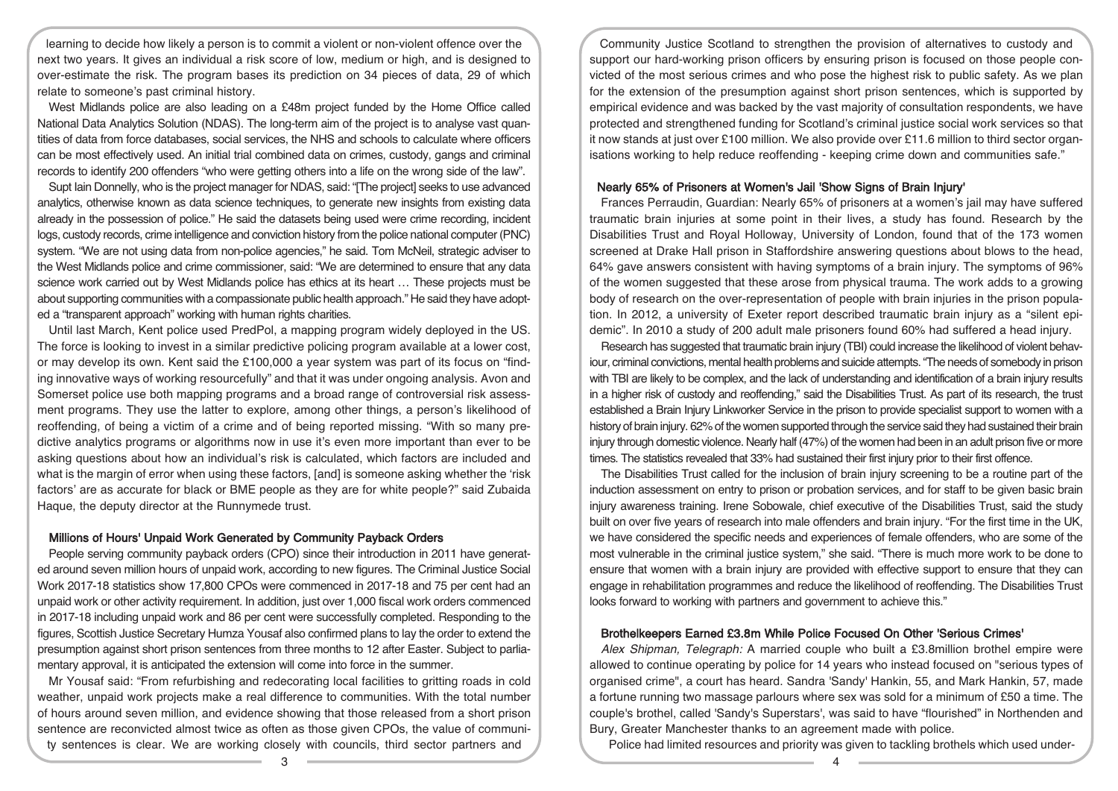learning to decide how likely a person is to commit a violent or non-violent offence over the next two years. It gives an individual a risk score of low, medium or high, and is designed to over-estimate the risk. The program bases its prediction on 34 pieces of data, 29 of which relate to someone's past criminal history.

West Midlands police are also leading on a £48m project funded by the Home Office called National Data Analytics Solution (NDAS). The long-term aim of the project is to analyse vast quantities of data from force databases, social services, the NHS and schools to calculate where officers can be most effectively used. An initial trial combined data on crimes, custody, gangs and criminal records to identify 200 offenders "who were getting others into a life on the wrong side of the law".

Supt Iain Donnelly, who is the project manager for NDAS, said: "[The project] seeks to use advanced analytics, otherwise known as data science techniques, to generate new insights from existing data already in the possession of police." He said the datasets being used were crime recording, incident logs, custody records, crime intelligence and conviction history from the police national computer (PNC) system. "We are not using data from non-police agencies," he said. Tom McNeil, strategic adviser to the West Midlands police and crime commissioner, said: "We are determined to ensure that any data science work carried out by West Midlands police has ethics at its heart … These projects must be about supporting communities with a compassionate public health approach." He said they have adopted a "transparent approach" working with human rights charities.

Until last March, Kent police used PredPol, a mapping program widely deployed in the US. The force is looking to invest in a similar predictive policing program available at a lower cost, or may develop its own. Kent said the £100,000 a year system was part of its focus on "finding innovative ways of working resourcefully" and that it was under ongoing analysis. Avon and Somerset police use both mapping programs and a broad range of controversial risk assessment programs. They use the latter to explore, among other things, a person's likelihood of reoffending, of being a victim of a crime and of being reported missing. "With so many predictive analytics programs or algorithms now in use it's even more important than ever to be asking questions about how an individual's risk is calculated, which factors are included and what is the margin of error when using these factors, [and] is someone asking whether the 'risk factors' are as accurate for black or BME people as they are for white people?" said Zubaida Haque, the deputy director at the Runnymede trust.

# Millions of Hours' Unpaid Work Generated by Community Payback Orders

People serving community payback orders (CPO) since their introduction in 2011 have generated around seven million hours of unpaid work, according to new figures. The Criminal Justice Social Work 2017-18 statistics show 17,800 CPOs were commenced in 2017-18 and 75 per cent had an unpaid work or other activity requirement. In addition, just over 1,000 fiscal work orders commenced in 2017-18 including unpaid work and 86 per cent were successfully completed. Responding to the figures, Scottish Justice Secretary Humza Yousaf also confirmed plans to lay the order to extend the presumption against short prison sentences from three months to 12 after Easter. Subject to parliamentary approval, it is anticipated the extension will come into force in the summer.

Mr Yousaf said: "From refurbishing and redecorating local facilities to gritting roads in cold weather, unpaid work projects make a real difference to communities. With the total number of hours around seven million, and evidence showing that those released from a short prison sentence are reconvicted almost twice as often as those given CPOs, the value of community sentences is clear. We are working closely with councils, third sector partners and

Community Justice Scotland to strengthen the provision of alternatives to custody and support our hard-working prison officers by ensuring prison is focused on those people convicted of the most serious crimes and who pose the highest risk to public safety. As we plan for the extension of the presumption against short prison sentences, which is supported by empirical evidence and was backed by the vast majority of consultation respondents, we have protected and strengthened funding for Scotland's criminal justice social work services so that it now stands at just over £100 million. We also provide over £11.6 million to third sector organisations working to help reduce reoffending - keeping crime down and communities safe."

#### Nearly 65% of Prisoners at Women's Jail 'Show Signs of Brain Injury'

Frances Perraudin, Guardian: Nearly 65% of prisoners at a women's jail may have suffered traumatic brain injuries at some point in their lives, a study has found. Research by the Disabilities Trust and Royal Holloway, University of London, found that of the 173 women screened at Drake Hall prison in Staffordshire answering questions about blows to the head, 64% gave answers consistent with having symptoms of a brain injury. The symptoms of 96% of the women suggested that these arose from physical trauma. The work adds to a growing body of research on the over-representation of people with brain injuries in the prison population. In 2012, a university of Exeter report described traumatic brain injury as a "silent epidemic". In 2010 a study of 200 adult male prisoners found 60% had suffered a head injury.

Research has suggested that traumatic brain injury (TBI) could increase the likelihood of violent behaviour, criminal convictions, mental health problems and suicide attempts."The needs of somebody in prison with TBI are likely to be complex, and the lack of understanding and identification of a brain injury results in a higher risk of custody and reoffending," said the Disabilities Trust. As part of its research, the trust established a Brain Injury Linkworker Service in the prison to provide specialist support to women with a history of brain injury. 62% of the women supported through the service said they had sustained their brain injury through domestic violence. Nearly half(47%) of the women had been in an adult prison five or more times. The statistics revealed that 33% had sustained their first injury prior to their first offence.

The Disabilities Trust called for the inclusion of brain injury screening to be a routine part of the induction assessment on entry to prison or probation services, and for staff to be given basic brain injury awareness training. Irene Sobowale, chief executive of the Disabilities Trust, said the study built on over five years of research into male offenders and brain injury. "For the first time in the UK, we have considered the specific needs and experiences of female offenders, who are some of the most vulnerable in the criminal justice system," she said. "There is much more work to be done to ensure that women with a brain injury are provided with effective support to ensure that they can engage in rehabilitation programmes and reduce the likelihood of reoffending. The Disabilities Trust looks forward to working with partners and government to achieve this."

#### Brothelkeepers Earned £3.8m While Police Focused On Other 'Serious Crimes'

Alex Shipman, Telegraph: A married couple who built a £3.8million brothel empire were allowed to continue operating by police for 14 years who instead focused on "serious types of organised crime", a court has heard. Sandra 'Sandy' Hankin, 55, and Mark Hankin, 57, made a fortune running two massage parlours where sex was sold for a minimum of £50 a time. The couple's brothel, called 'Sandy's Superstars', was said to have "flourished" in Northenden and Bury, Greater Manchester thanks to an agreement made with police.

Police had limited resources and priority was given to tackling brothels which used under-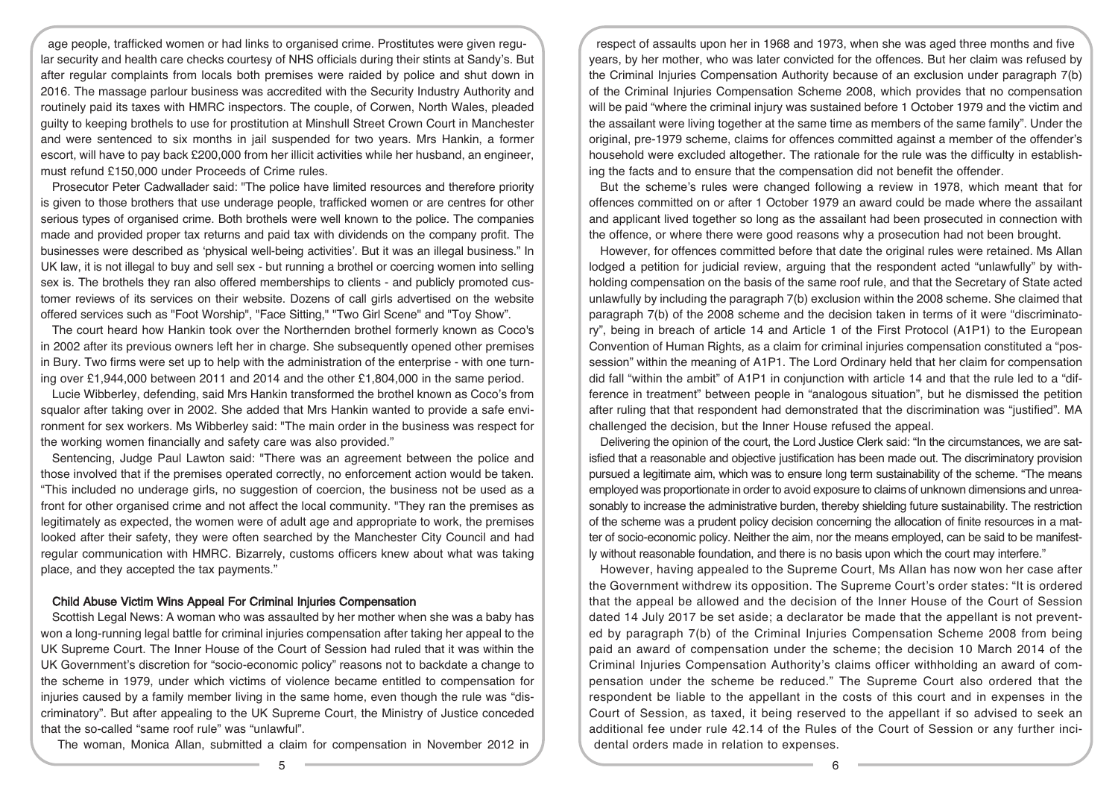age people, trafficked women or had links to organised crime. Prostitutes were given regular security and health care checks courtesy of NHS officials during their stints at Sandy's. But after regular complaints from locals both premises were raided by police and shut down in 2016. The massage parlour business was accredited with the Security Industry Authority and routinely paid its taxes with HMRC inspectors. The couple, of Corwen, North Wales, pleaded guilty to keeping brothels to use for prostitution at Minshull Street Crown Court in Manchester and were sentenced to six months in jail suspended for two years. Mrs Hankin, a former escort, will have to pay back £200,000 from her illicit activities while her husband, an engineer, must refund £150,000 under Proceeds of Crime rules.

Prosecutor Peter Cadwallader said: "The police have limited resources and therefore priority is given to those brothers that use underage people, trafficked women or are centres for other serious types of organised crime. Both brothels were well known to the police. The companies made and provided proper tax returns and paid tax with dividends on the company profit. The businesses were described as 'physical well-being activities'. But it was an illegal business." In UK law, it is not illegal to buy and sell sex - but running a brothel or coercing women into selling sex is. The brothels they ran also offered memberships to clients - and publicly promoted customer reviews of its services on their website. Dozens of call girls advertised on the website offered services such as "Foot Worship", "Face Sitting," "Two Girl Scene" and "Toy Show".

The court heard how Hankin took over the Northernden brothel formerly known as Coco's in 2002 after its previous owners left her in charge. She subsequently opened other premises in Bury. Two firms were set up to help with the administration of the enterprise - with one turning over £1,944,000 between 2011 and 2014 and the other £1,804,000 in the same period.

Lucie Wibberley, defending, said Mrs Hankin transformed the brothel known as Coco's from squalor after taking over in 2002. She added that Mrs Hankin wanted to provide a safe environment for sex workers. Ms Wibberley said: "The main order in the business was respect for the working women financially and safety care was also provided."

Sentencing, Judge Paul Lawton said: "There was an agreement between the police and those involved that if the premises operated correctly, no enforcement action would be taken. "This included no underage girls, no suggestion of coercion, the business not be used as a front for other organised crime and not affect the local community. "They ran the premises as legitimately as expected, the women were of adult age and appropriate to work, the premises looked after their safety, they were often searched by the Manchester City Council and had regular communication with HMRC. Bizarrely, customs officers knew about what was taking place, and they accepted the tax payments."

# Child Abuse Victim Wins Appeal For Criminal Injuries Compensation

Scottish Legal News: A woman who was assaulted by her mother when she was a baby has won a long-running legal battle for criminal injuries compensation after taking her appeal to the UK Supreme Court. The Inner House of the Court of Session had ruled that it was within the UK Government's discretion for "socio-economic policy" reasons not to backdate a change to the scheme in 1979, under which victims of violence became entitled to compensation for injuries caused by a family member living in the same home, even though the rule was "discriminatory". But after appealing to the UK Supreme Court, the Ministry of Justice conceded that the so-called "same roof rule" was "unlawful".

The woman, Monica Allan, submitted a claim for compensation in November 2012 in

respect of assaults upon her in 1968 and 1973, when she was aged three months and five years, by her mother, who was later convicted for the offences. But her claim was refused by the Criminal Injuries Compensation Authority because of an exclusion under paragraph 7(b) of the Criminal Injuries Compensation Scheme 2008, which provides that no compensation will be paid "where the criminal injury was sustained before 1 October 1979 and the victim and the assailant were living together at the same time as members of the same family". Under the original, pre-1979 scheme, claims for offences committed against a member of the offender's household were excluded altogether. The rationale for the rule was the difficulty in establishing the facts and to ensure that the compensation did not benefit the offender.

But the scheme's rules were changed following a review in 1978, which meant that for offences committed on or after 1 October 1979 an award could be made where the assailant and applicant lived together so long as the assailant had been prosecuted in connection with the offence, or where there were good reasons why a prosecution had not been brought.

However, for offences committed before that date the original rules were retained. Ms Allan lodged a petition for judicial review, arguing that the respondent acted "unlawfully" by withholding compensation on the basis of the same roof rule, and that the Secretary of State acted unlawfully by including the paragraph 7(b) exclusion within the 2008 scheme. She claimed that paragraph 7(b) of the 2008 scheme and the decision taken in terms of it were "discriminatory", being in breach of article 14 and Article 1 of the First Protocol (A1P1) to the European Convention of Human Rights, as a claim for criminal injuries compensation constituted a "possession" within the meaning of A1P1. The Lord Ordinary held that her claim for compensation did fall "within the ambit" of A1P1 in conjunction with article 14 and that the rule led to a "difference in treatment" between people in "analogous situation", but he dismissed the petition after ruling that that respondent had demonstrated that the discrimination was "justified". MA challenged the decision, but the Inner House refused the appeal.

Delivering the opinion of the court, the Lord Justice Clerk said: "In the circumstances, we are satisfied that a reasonable and objective justification has been made out. The discriminatory provision pursued a legitimate aim, which was to ensure long term sustainability of the scheme. "The means employed was proportionate in order to avoid exposure to claims of unknown dimensions and unreasonably to increase the administrative burden, thereby shielding future sustainability. The restriction of the scheme was a prudent policy decision concerning the allocation of finite resources in a matter of socio-economic policy. Neither the aim, nor the means employed, can be said to be manifestly without reasonable foundation, and there is no basis upon which the court may interfere."

However, having appealed to the Supreme Court, Ms Allan has now won her case after the Government withdrew its opposition. The Supreme Court's order states: "It is ordered that the appeal be allowed and the decision of the Inner House of the Court of Session dated 14 July 2017 be set aside; a declarator be made that the appellant is not prevented by paragraph 7(b) of the Criminal Injuries Compensation Scheme 2008 from being paid an award of compensation under the scheme; the decision 10 March 2014 of the Criminal Injuries Compensation Authority's claims officer withholding an award of compensation under the scheme be reduced." The Supreme Court also ordered that the respondent be liable to the appellant in the costs of this court and in expenses in the Court of Session, as taxed, it being reserved to the appellant if so advised to seek an additional fee under rule 42.14 of the Rules of the Court of Session or any further incidental orders made in relation to expenses.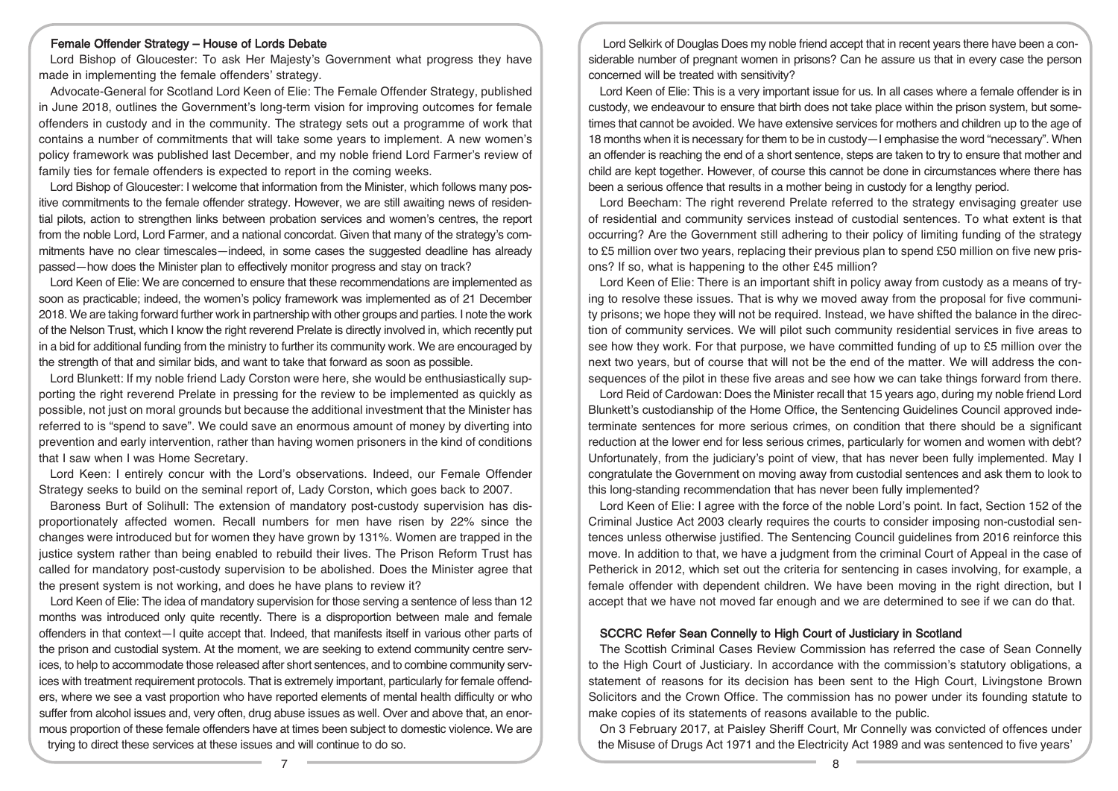### Female Offender Strategy – House of Lords Debate

Lord Bishop of Gloucester: To ask Her Majesty's Government what progress they have made in implementing the female offenders' strategy.

Advocate-General for Scotland Lord Keen of Elie: The Female Offender Strategy, published in June 2018, outlines the Government's long-term vision for improving outcomes for female offenders in custody and in the community. The strategy sets out a programme of work that contains a number of commitments that will take some years to implement. A new women's policy framework was published last December, and my noble friend Lord Farmer's review of family ties for female offenders is expected to report in the coming weeks.

Lord Bishop of Gloucester: I welcome that information from the Minister, which follows many positive commitments to the female offender strategy. However, we are still awaiting news of residential pilots, action to strengthen links between probation services and women's centres, the report from the noble Lord, Lord Farmer, and a national concordat. Given that many of the strategy's commitments have no clear timescales—indeed, in some cases the suggested deadline has already passed—how does the Minister plan to effectively monitor progress and stay on track?

Lord Keen of Elie: We are concerned to ensure that these recommendations are implemented as soon as practicable; indeed, the women's policy framework was implemented as of 21 December 2018. We are taking forward further work in partnership with other groups and parties. I note the work of the Nelson Trust, which I know the right reverend Prelate is directly involved in, which recently put in a bid for additional funding from the ministry to further its community work. We are encouraged by the strength of that and similar bids, and want to take that forward as soon as possible.

Lord Blunkett: If my noble friend Lady Corston were here, she would be enthusiastically supporting the right reverend Prelate in pressing for the review to be implemented as quickly as possible, not just on moral grounds but because the additional investment that the Minister has referred to is "spend to save". We could save an enormous amount of money by diverting into prevention and early intervention, rather than having women prisoners in the kind of conditions that I saw when I was Home Secretary.

Lord Keen: I entirely concur with the Lord's observations. Indeed, our Female Offender Strategy seeks to build on the seminal report of, Lady Corston, which goes back to 2007.

Baroness Burt of Solihull: The extension of mandatory post-custody supervision has disproportionately affected women. Recall numbers for men have risen by 22% since the changes were introduced but for women they have grown by 131%. Women are trapped in the justice system rather than being enabled to rebuild their lives. The Prison Reform Trust has called for mandatory post-custody supervision to be abolished. Does the Minister agree that the present system is not working, and does he have plans to review it?

Lord Keen of Elie: The idea of mandatory supervision for those serving a sentence of less than 12 months was introduced only quite recently. There is a disproportion between male and female offenders in that context—I quite accept that. Indeed, that manifests itself in various other parts of the prison and custodial system. At the moment, we are seeking to extend community centre services, to help to accommodate those released after short sentences, and to combine community services with treatment requirement protocols. That is extremely important, particularly for female offenders, where we see a vast proportion who have reported elements of mental health difficulty or who suffer from alcohol issues and, very often, drug abuse issues as well. Over and above that, an enormous proportion of these female offenders have at times been subject to domestic violence. We are trying to direct these services at these issues and will continue to do so.

Lord Selkirk of Douglas Does my noble friend accept that in recent years there have been a considerable number of pregnant women in prisons? Can he assure us that in every case the person concerned will be treated with sensitivity?

Lord Keen of Elie: This is a very important issue for us. In all cases where a female offender is in custody, we endeavour to ensure that birth does not take place within the prison system, but sometimes that cannot be avoided. We have extensive services for mothers and children up to the age of 18 months when it is necessary for them to be in custody—I emphasise the word "necessary". When an offender is reaching the end of a short sentence, steps are taken to try to ensure that mother and child are kept together. However, of course this cannot be done in circumstances where there has been a serious offence that results in a mother being in custody for a lengthy period.

Lord Beecham: The right reverend Prelate referred to the strategy envisaging greater use of residential and community services instead of custodial sentences. To what extent is that occurring? Are the Government still adhering to their policy of limiting funding of the strategy to £5 million over two years, replacing their previous plan to spend £50 million on five new prisons? If so, what is happening to the other £45 million?

Lord Keen of Elie: There is an important shift in policy away from custody as a means of trying to resolve these issues. That is why we moved away from the proposal for five community prisons; we hope they will not be required. Instead, we have shifted the balance in the direction of community services. We will pilot such community residential services in five areas to see how they work. For that purpose, we have committed funding of up to £5 million over the next two years, but of course that will not be the end of the matter. We will address the consequences of the pilot in these five areas and see how we can take things forward from there.

Lord Reid of Cardowan: Does the Minister recall that 15 years ago, during my noble friend Lord Blunkett's custodianship of the Home Office, the Sentencing Guidelines Council approved indeterminate sentences for more serious crimes, on condition that there should be a significant reduction at the lower end for less serious crimes, particularly for women and women with debt? Unfortunately, from the judiciary's point of view, that has never been fully implemented. May I congratulate the Government on moving away from custodial sentences and ask them to look to this long-standing recommendation that has never been fully implemented?

Lord Keen of Elie: I agree with the force of the noble Lord's point. In fact, Section 152 of the Criminal Justice Act 2003 clearly requires the courts to consider imposing non-custodial sentences unless otherwise justified. The Sentencing Council guidelines from 2016 reinforce this move. In addition to that, we have a judgment from the criminal Court of Appeal in the case of Petherick in 2012, which set out the criteria for sentencing in cases involving, for example, a female offender with dependent children. We have been moving in the right direction, but I accept that we have not moved far enough and we are determined to see if we can do that.

#### SCCRC Refer Sean Connelly to High Court of Justiciary in Scotland

The Scottish Criminal Cases Review Commission has referred the case of Sean Connelly to the High Court of Justiciary. In accordance with the commission's statutory obligations, a statement of reasons for its decision has been sent to the High Court, Livingstone Brown Solicitors and the Crown Office. The commission has no power under its founding statute to make copies of its statements of reasons available to the public.

On 3 February 2017, at Paisley Sheriff Court, Mr Connelly was convicted of offences under the Misuse of Drugs Act 1971 and the Electricity Act 1989 and was sentenced to five years'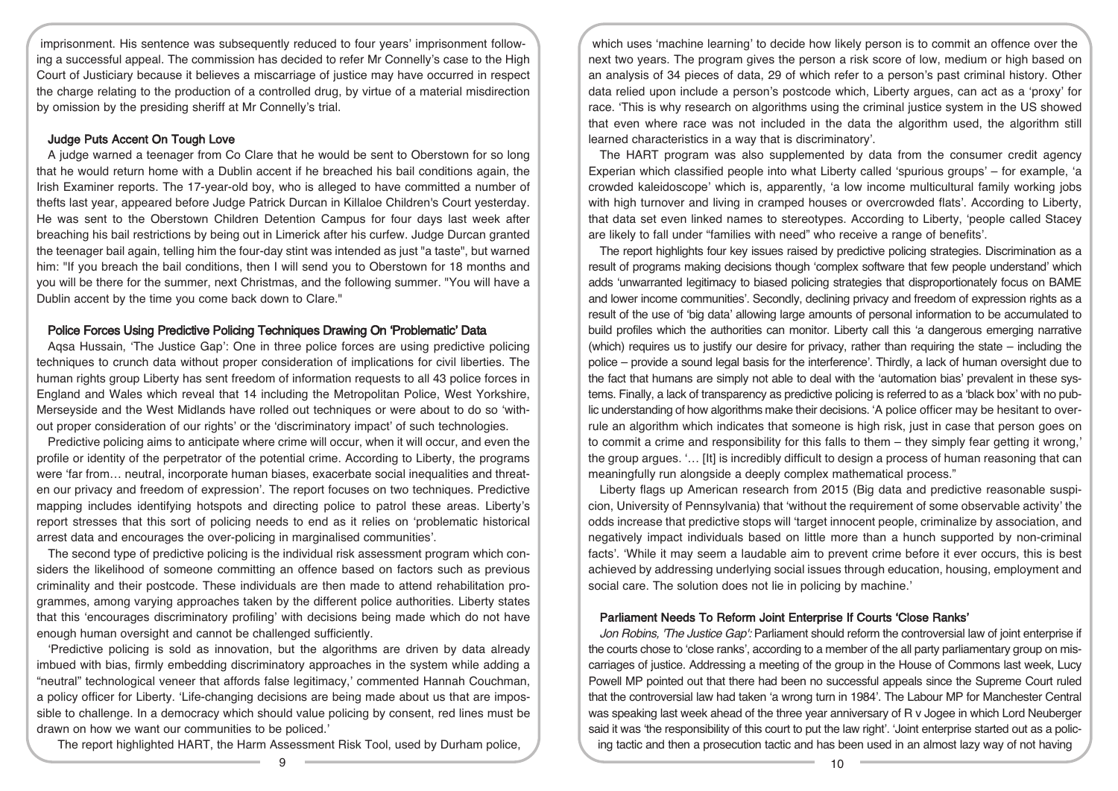imprisonment. His sentence was subsequently reduced to four years' imprisonment following a successful appeal. The commission has decided to refer Mr Connelly's case to the High Court of Justiciary because it believes a miscarriage of justice may have occurred in respect the charge relating to the production of a controlled drug, by virtue of a material misdirection by omission by the presiding sheriff at Mr Connelly's trial.

# Judge Puts Accent On Tough Love

A judge warned a teenager from Co Clare that he would be sent to Oberstown for so long that he would return home with a Dublin accent if he breached his bail conditions again, the Irish Examiner reports. The 17-year-old boy, who is alleged to have committed a number of thefts last year, appeared before Judge Patrick Durcan in Killaloe Children's Court yesterday. He was sent to the Oberstown Children Detention Campus for four days last week after breaching his bail restrictions by being out in Limerick after his curfew. Judge Durcan granted the teenager bail again, telling him the four-day stint was intended as just "a taste", but warned him: "If you breach the bail conditions, then I will send you to Oberstown for 18 months and you will be there for the summer, next Christmas, and the following summer. "You will have a Dublin accent by the time you come back down to Clare."

# Police Forces Using Predictive Policing Techniques Drawing On 'Problematic' Data

Aqsa Hussain, 'The Justice Gap': One in three police forces are using predictive policing techniques to crunch data without proper consideration of implications for civil liberties. The human rights group Liberty has sent freedom of information requests to all 43 police forces in England and Wales which reveal that 14 including the Metropolitan Police, West Yorkshire, Merseyside and the West Midlands have rolled out techniques or were about to do so 'without proper consideration of our rights' or the 'discriminatory impact' of such technologies.

Predictive policing aims to anticipate where crime will occur, when it will occur, and even the profile or identity of the perpetrator of the potential crime. According to Liberty, the programs were 'far from… neutral, incorporate human biases, exacerbate social inequalities and threaten our privacy and freedom of expression'. The report focuses on two techniques. Predictive mapping includes identifying hotspots and directing police to patrol these areas. Liberty's report stresses that this sort of policing needs to end as it relies on 'problematic historical arrest data and encourages the over-policing in marginalised communities'.

The second type of predictive policing is the individual risk assessment program which considers the likelihood of someone committing an offence based on factors such as previous criminality and their postcode. These individuals are then made to attend rehabilitation programmes, among varying approaches taken by the different police authorities. Liberty states that this 'encourages discriminatory profiling' with decisions being made which do not have enough human oversight and cannot be challenged sufficiently.

'Predictive policing is sold as innovation, but the algorithms are driven by data already imbued with bias, firmly embedding discriminatory approaches in the system while adding a "neutral" technological veneer that affords false legitimacy,' commented Hannah Couchman, a policy officer for Liberty. 'Life-changing decisions are being made about us that are impossible to challenge. In a democracy which should value policing by consent, red lines must be drawn on how we want our communities to be policed.'

The report highlighted HART, the Harm Assessment Risk Tool, used by Durham police,

which uses 'machine learning' to decide how likely person is to commit an offence over the next two years. The program gives the person a risk score of low, medium or high based on an analysis of 34 pieces of data, 29 of which refer to a person's past criminal history. Other data relied upon include a person's postcode which, Liberty argues, can act as a 'proxy' for race. 'This is why research on algorithms using the criminal justice system in the US showed that even where race was not included in the data the algorithm used, the algorithm still learned characteristics in a way that is discriminatory'.

The HART program was also supplemented by data from the consumer credit agency Experian which classified people into what Liberty called 'spurious groups' – for example, 'a crowded kaleidoscope' which is, apparently, 'a low income multicultural family working jobs with high turnover and living in cramped houses or overcrowded flats'. According to Liberty, that data set even linked names to stereotypes. According to Liberty, 'people called Stacey are likely to fall under "families with need" who receive a range of benefits'.

The report highlights four key issues raised by predictive policing strategies. Discrimination as a result of programs making decisions though 'complex software that few people understand' which adds 'unwarranted legitimacy to biased policing strategies that disproportionately focus on BAME and lower income communities'. Secondly, declining privacy and freedom of expression rights as a result of the use of 'big data' allowing large amounts of personal information to be accumulated to build profiles which the authorities can monitor. Liberty call this 'a dangerous emerging narrative (which) requires us to justify our desire for privacy, rather than requiring the state – including the police – provide a sound legal basis for the interference'. Thirdly, a lack of human oversight due to the fact that humans are simply not able to deal with the 'automation bias' prevalent in these systems. Finally, a lack of transparency as predictive policing is referred to as a 'black box' with no public understanding of how algorithms make their decisions. 'A police officer may be hesitant to overrule an algorithm which indicates that someone is high risk, just in case that person goes on to commit a crime and responsibility for this falls to them – they simply fear getting it wrong,' the group argues. '… [It] is incredibly difficult to design a process of human reasoning that can meaningfully run alongside a deeply complex mathematical process."

Liberty flags up American research from 2015 (Big data and predictive reasonable suspicion, University of Pennsylvania) that 'without the requirement of some observable activity' the odds increase that predictive stops will 'target innocent people, criminalize by association, and negatively impact individuals based on little more than a hunch supported by non-criminal facts'. 'While it may seem a laudable aim to prevent crime before it ever occurs, this is best achieved by addressing underlying social issues through education, housing, employment and social care. The solution does not lie in policing by machine.'

# Parliament Needs To Reform Joint Enterprise If Courts 'Close Ranks'

Jon Robins, The Justice Gap': Parliament should reform the controversial law of joint enterprise if the courts chose to 'close ranks', according to a member of the all party parliamentary group on miscarriages of justice. Addressing a meeting of the group in the House of Commons last week, Lucy Powell MP pointed out that there had been no successful appeals since the Supreme Court ruled that the controversial law had taken 'a wrong turn in 1984'. The Labour MP for Manchester Central was speaking last week ahead of the three year anniversary of R v Jogee in which Lord Neuberger said it was 'the responsibility of this court to put the law right'. 'Joint enterprise started out as a policing tactic and then a prosecution tactic and has been used in an almost lazy way of not having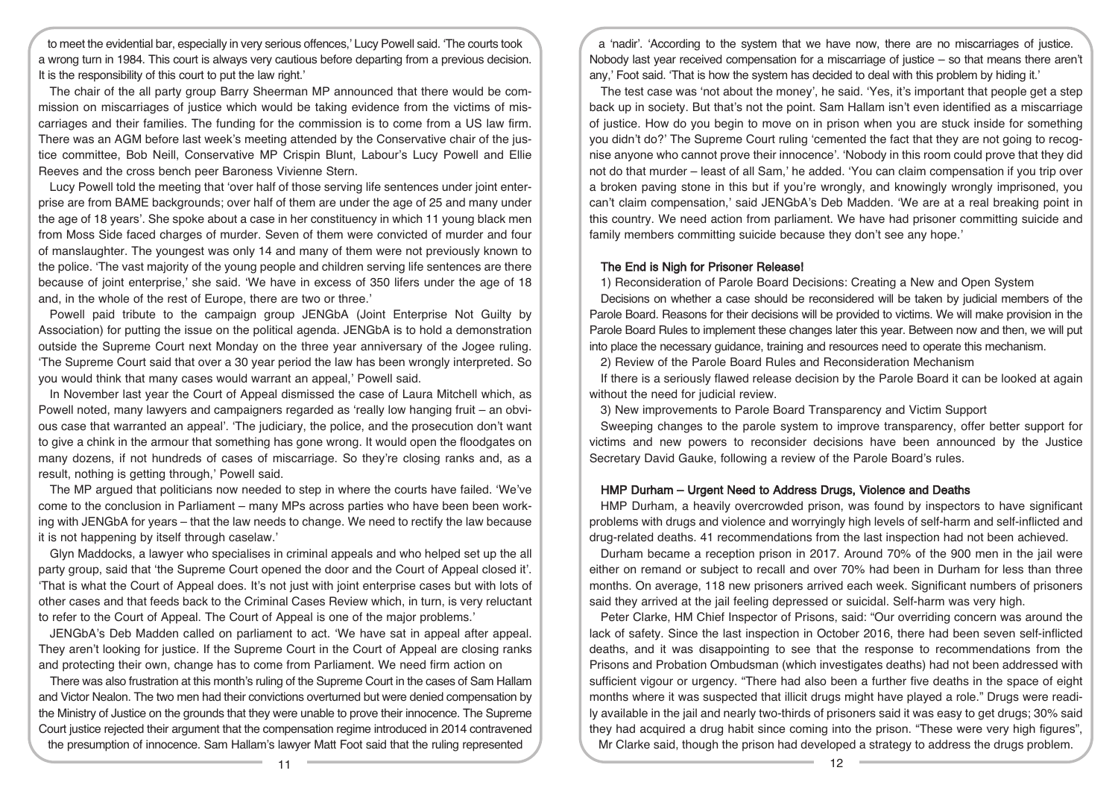to meet the evidential bar, especially in very serious offences,' Lucy Powell said. 'The courts took a wrong turn in 1984. This court is always very cautious before departing from a previous decision. It is the responsibility of this court to put the law right.'

The chair of the all party group Barry Sheerman MP announced that there would be commission on miscarriages of justice which would be taking evidence from the victims of miscarriages and their families. The funding for the commission is to come from a US law firm. There was an AGM before last week's meeting attended by the Conservative chair of the justice committee, Bob Neill, Conservative MP Crispin Blunt, Labour's Lucy Powell and Ellie Reeves and the cross bench peer Baroness Vivienne Stern.

Lucy Powell told the meeting that 'over half of those serving life sentences under joint enterprise are from BAME backgrounds; over half of them are under the age of 25 and many under the age of 18 years'. She spoke about a case in her constituency in which 11 young black men from Moss Side faced charges of murder. Seven of them were convicted of murder and four of manslaughter. The youngest was only 14 and many of them were not previously known to the police. 'The vast majority of the young people and children serving life sentences are there because of joint enterprise,' she said. 'We have in excess of 350 lifers under the age of 18 and, in the whole of the rest of Europe, there are two or three.'

Powell paid tribute to the campaign group JENGbA (Joint Enterprise Not Guilty by Association) for putting the issue on the political agenda. JENGbA is to hold a demonstration outside the Supreme Court next Monday on the three year anniversary of the Jogee ruling. 'The Supreme Court said that over a 30 year period the law has been wrongly interpreted. So you would think that many cases would warrant an appeal,' Powell said.

In November last year the Court of Appeal dismissed the case of Laura Mitchell which, as Powell noted, many lawyers and campaigners regarded as 'really low hanging fruit – an obvious case that warranted an appeal'. 'The judiciary, the police, and the prosecution don't want to give a chink in the armour that something has gone wrong. It would open the floodgates on many dozens, if not hundreds of cases of miscarriage. So they're closing ranks and, as a result, nothing is getting through,' Powell said.

The MP argued that politicians now needed to step in where the courts have failed. 'We've come to the conclusion in Parliament – many MPs across parties who have been been working with JENGbA for years – that the law needs to change. We need to rectify the law because it is not happening by itself through caselaw.'

Glyn Maddocks, a lawyer who specialises in criminal appeals and who helped set up the all party group, said that 'the Supreme Court opened the door and the Court of Appeal closed it'. 'That is what the Court of Appeal does. It's not just with joint enterprise cases but with lots of other cases and that feeds back to the Criminal Cases Review which, in turn, is very reluctant to refer to the Court of Appeal. The Court of Appeal is one of the major problems.'

JENGbA's Deb Madden called on parliament to act. 'We have sat in appeal after appeal. They aren't looking for justice. If the Supreme Court in the Court of Appeal are closing ranks and protecting their own, change has to come from Parliament. We need firm action on

There was also frustration at this month's ruling of the Supreme Court in the cases of Sam Hallam and Victor Nealon. The two men had their convictions overturned but were denied compensation by the Ministry of Justice on the grounds that they were unable to prove their innocence. The Supreme Court justice rejected their argument that the compensation regime introduced in 2014 contravened the presumption of innocence. Sam Hallam's lawyer Matt Foot said that the ruling represented

a 'nadir'. 'According to the system that we have now, there are no miscarriages of justice. Nobody last year received compensation for a miscarriage of justice – so that means there aren't any,' Foot said. 'That is how the system has decided to deal with this problem by hiding it.'

The test case was 'not about the money', he said. 'Yes, it's important that people get a step back up in society. But that's not the point. Sam Hallam isn't even identified as a miscarriage of justice. How do you begin to move on in prison when you are stuck inside for something you didn't do?' The Supreme Court ruling 'cemented the fact that they are not going to recognise anyone who cannot prove their innocence'. 'Nobody in this room could prove that they did not do that murder – least of all Sam,' he added. 'You can claim compensation if you trip over a broken paving stone in this but if you're wrongly, and knowingly wrongly imprisoned, you can't claim compensation,' said JENGbA's Deb Madden. 'We are at a real breaking point in this country. We need action from parliament. We have had prisoner committing suicide and family members committing suicide because they don't see any hope.'

### The End is Nigh for Prisoner Release!

1) Reconsideration of Parole Board Decisions: Creating a New and Open System

Decisions on whether a case should be reconsidered will be taken by judicial members of the Parole Board. Reasons for their decisions will be provided to victims. We will make provision in the Parole Board Rules to implement these changes later this year. Between now and then, we will put into place the necessary guidance, training and resources need to operate this mechanism.

2) Review of the Parole Board Rules and Reconsideration Mechanism

If there is a seriously flawed release decision by the Parole Board it can be looked at again without the need for judicial review.

3) New improvements to Parole Board Transparency and Victim Support

Sweeping changes to the parole system to improve transparency, offer better support for victims and new powers to reconsider decisions have been announced by the Justice Secretary David Gauke, following a review of the Parole Board's rules.

### HMP Durham – Urgent Need to Address Drugs, Violence and Deaths

HMP Durham, a heavily overcrowded prison, was found by inspectors to have significant problems with drugs and violence and worryingly high levels of self-harm and self-inflicted and drug-related deaths. 41 recommendations from the last inspection had not been achieved.

Durham became a reception prison in 2017. Around 70% of the 900 men in the jail were either on remand or subject to recall and over 70% had been in Durham for less than three months. On average, 118 new prisoners arrived each week. Significant numbers of prisoners said they arrived at the jail feeling depressed or suicidal. Self-harm was very high.

Peter Clarke, HM Chief Inspector of Prisons, said: "Our overriding concern was around the lack of safety. Since the last inspection in October 2016, there had been seven self-inflicted deaths, and it was disappointing to see that the response to recommendations from the Prisons and Probation Ombudsman (which investigates deaths) had not been addressed with sufficient vigour or urgency. "There had also been a further five deaths in the space of eight months where it was suspected that illicit drugs might have played a role." Drugs were readily available in the jail and nearly two-thirds of prisoners said it was easy to get drugs; 30% said they had acquired a drug habit since coming into the prison. "These were very high figures", Mr Clarke said, though the prison had developed a strategy to address the drugs problem.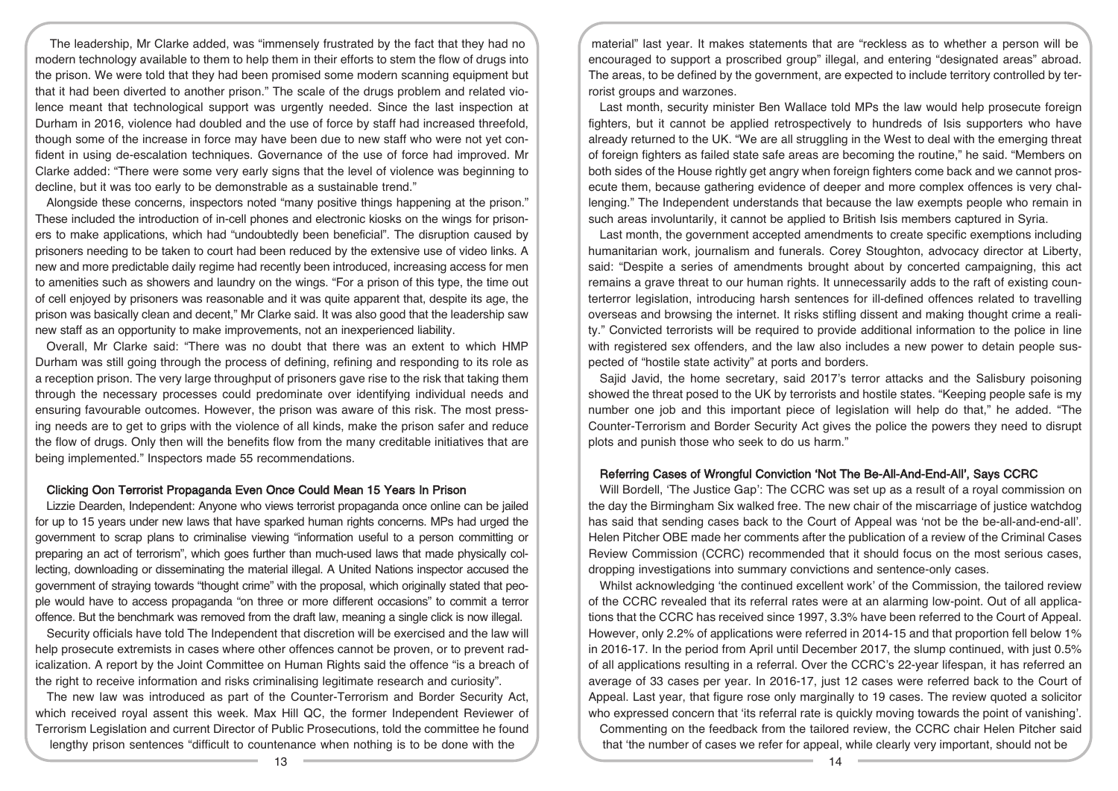The leadership, Mr Clarke added, was "immensely frustrated by the fact that they had no modern technology available to them to help them in their efforts to stem the flow of drugs into the prison. We were told that they had been promised some modern scanning equipment but that it had been diverted to another prison." The scale of the drugs problem and related violence meant that technological support was urgently needed. Since the last inspection at Durham in 2016, violence had doubled and the use of force by staff had increased threefold, though some of the increase in force may have been due to new staff who were not yet confident in using de-escalation techniques. Governance of the use of force had improved. Mr Clarke added: "There were some very early signs that the level of violence was beginning to decline, but it was too early to be demonstrable as a sustainable trend."

Alongside these concerns, inspectors noted "many positive things happening at the prison." These included the introduction of in-cell phones and electronic kiosks on the wings for prisoners to make applications, which had "undoubtedly been beneficial". The disruption caused by prisoners needing to be taken to court had been reduced by the extensive use of video links. A new and more predictable daily regime had recently been introduced, increasing access for men to amenities such as showers and laundry on the wings. "For a prison of this type, the time out of cell enjoyed by prisoners was reasonable and it was quite apparent that, despite its age, the prison was basically clean and decent," Mr Clarke said. It was also good that the leadership saw new staff as an opportunity to make improvements, not an inexperienced liability.

Overall, Mr Clarke said: "There was no doubt that there was an extent to which HMP Durham was still going through the process of defining, refining and responding to its role as a reception prison. The very large throughput of prisoners gave rise to the risk that taking them through the necessary processes could predominate over identifying individual needs and ensuring favourable outcomes. However, the prison was aware of this risk. The most pressing needs are to get to grips with the violence of all kinds, make the prison safer and reduce the flow of drugs. Only then will the benefits flow from the many creditable initiatives that are being implemented." Inspectors made 55 recommendations.

#### Clicking Oon Terrorist Propaganda Even Once Could Mean 15 Years In Prison

Lizzie Dearden, Independent: Anyone who views terrorist propaganda once online can be jailed for up to 15 years under new laws that have sparked human rights concerns. MPs had urged the government to scrap plans to criminalise viewing "information useful to a person committing or preparing an act of terrorism", which goes further than much-used laws that made physically collecting, downloading or disseminating the material illegal. A United Nations inspector accused the government of straying towards "thought crime" with the proposal, which originally stated that people would have to access propaganda "on three or more different occasions" to commit a terror offence. But the benchmark was removed from the draft law, meaning a single click is now illegal.

Security officials have told The Independent that discretion will be exercised and the law will help prosecute extremists in cases where other offences cannot be proven, or to prevent radicalization. A report by the Joint Committee on Human Rights said the offence "is a breach of the right to receive information and risks criminalising legitimate research and curiosity".

The new law was introduced as part of the Counter-Terrorism and Border Security Act, which received royal assent this week. Max Hill QC, the former Independent Reviewer of Terrorism Legislation and current Director of Public Prosecutions, told the committee he found lengthy prison sentences "difficult to countenance when nothing is to be done with the

material" last year. It makes statements that are "reckless as to whether a person will be encouraged to support a proscribed group" illegal, and entering "designated areas" abroad. The areas, to be defined by the government, are expected to include territory controlled by terrorist groups and warzones.

Last month, security minister Ben Wallace told MPs the law would help prosecute foreign fighters, but it cannot be applied retrospectively to hundreds of Isis supporters who have already returned to the UK. "We are all struggling in the West to deal with the emerging threat of foreign fighters as failed state safe areas are becoming the routine," he said. "Members on both sides of the House rightly get angry when foreign fighters come back and we cannot prosecute them, because gathering evidence of deeper and more complex offences is very challenging." The Independent understands that because the law exempts people who remain in such areas involuntarily, it cannot be applied to British Isis members captured in Syria.

Last month, the government accepted amendments to create specific exemptions including humanitarian work, journalism and funerals. Corey Stoughton, advocacy director at Liberty, said: "Despite a series of amendments brought about by concerted campaigning, this act remains a grave threat to our human rights. It unnecessarily adds to the raft of existing counterterror legislation, introducing harsh sentences for ill-defined offences related to travelling overseas and browsing the internet. It risks stifling dissent and making thought crime a reality." Convicted terrorists will be required to provide additional information to the police in line with registered sex offenders, and the law also includes a new power to detain people suspected of "hostile state activity" at ports and borders.

Sajid Javid, the home secretary, said 2017's terror attacks and the Salisbury poisoning showed the threat posed to the UK by terrorists and hostile states. "Keeping people safe is my number one job and this important piece of legislation will help do that," he added. "The Counter-Terrorism and Border Security Act gives the police the powers they need to disrupt plots and punish those who seek to do us harm."

#### Referring Cases of Wrongful Conviction 'Not The Be-All-And-End-All', Says CCRC

Will Bordell, 'The Justice Gap': The CCRC was set up as a result of a royal commission on the day the Birmingham Six walked free. The new chair of the miscarriage of justice watchdog has said that sending cases back to the Court of Appeal was 'not be the be-all-and-end-all'. Helen Pitcher OBE made her comments after the publication of a review of the Criminal Cases Review Commission (CCRC) recommended that it should focus on the most serious cases, dropping investigations into summary convictions and sentence-only cases.

Whilst acknowledging 'the continued excellent work' of the Commission, the tailored review of the CCRC revealed that its referral rates were at an alarming low-point. Out of all applications that the CCRC has received since 1997, 3.3% have been referred to the Court of Appeal. However, only 2.2% of applications were referred in 2014-15 and that proportion fell below 1% in 2016-17. In the period from April until December 2017, the slump continued, with just 0.5% of all applications resulting in a referral. Over the CCRC's 22-year lifespan, it has referred an average of 33 cases per year. In 2016-17, just 12 cases were referred back to the Court of Appeal. Last year, that figure rose only marginally to 19 cases. The review quoted a solicitor who expressed concern that 'its referral rate is quickly moving towards the point of vanishing'.

Commenting on the feedback from the tailored review, the CCRC chair Helen Pitcher said that 'the number of cases we refer for appeal, while clearly very important, should not be